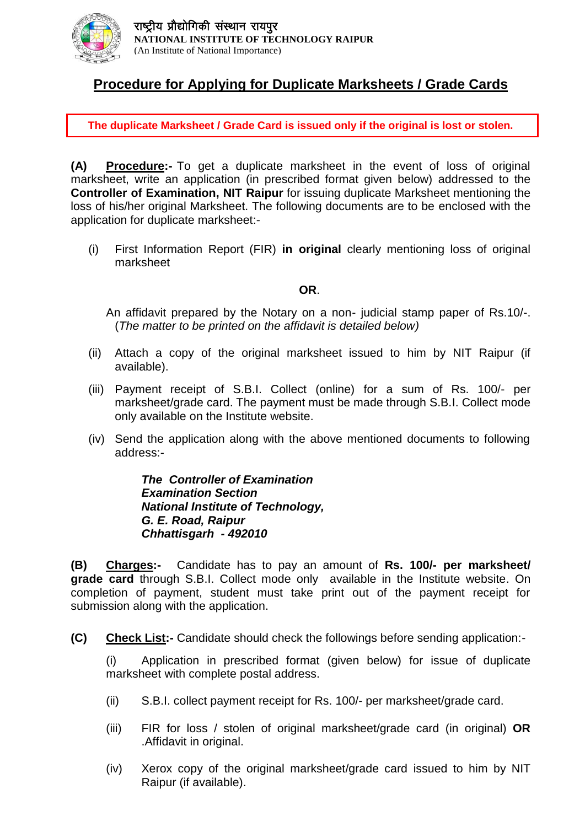

### **Procedure for Applying for Duplicate Marksheets / Grade Cards**

**The duplicate Marksheet / Grade Card is issued only if the original is lost or stolen.**

**(A) Procedure:-** To get a duplicate marksheet in the event of loss of original marksheet, write an application (in prescribed format given below) addressed to the **Controller of Examination, NIT Raipur** for issuing duplicate Marksheet mentioning the loss of his/her original Marksheet. The following documents are to be enclosed with the application for duplicate marksheet:-

(i) First Information Report (FIR) **in original** clearly mentioning loss of original marksheet

#### **OR**.

An affidavit prepared by the Notary on a non- judicial stamp paper of Rs.10/-. (*The matter to be printed on the affidavit is detailed below)*

- (ii) Attach a copy of the original marksheet issued to him by NIT Raipur (if available).
- (iii) Payment receipt of S.B.I. Collect (online) for a sum of Rs. 100/- per marksheet/grade card. The payment must be made through S.B.I. Collect mode only available on the Institute website.
- (iv) Send the application along with the above mentioned documents to following address:-

*The Controller of Examination Examination Section National Institute of Technology, G. E. Road, Raipur Chhattisgarh - 492010* 

**(B) Charges:-** Candidate has to pay an amount of **Rs. 100/- per marksheet/ grade card** through S.B.I. Collect mode only available in the Institute website. On completion of payment, student must take print out of the payment receipt for submission along with the application.

**(C) Check List:-** Candidate should check the followings before sending application:-

(i) Application in prescribed format (given below) for issue of duplicate marksheet with complete postal address.

- (ii) S.B.I. collect payment receipt for Rs. 100/- per marksheet/grade card.
- (iii) FIR for loss / stolen of original marksheet/grade card (in original) **OR**  .Affidavit in original.
- (iv) Xerox copy of the original marksheet/grade card issued to him by NIT Raipur (if available).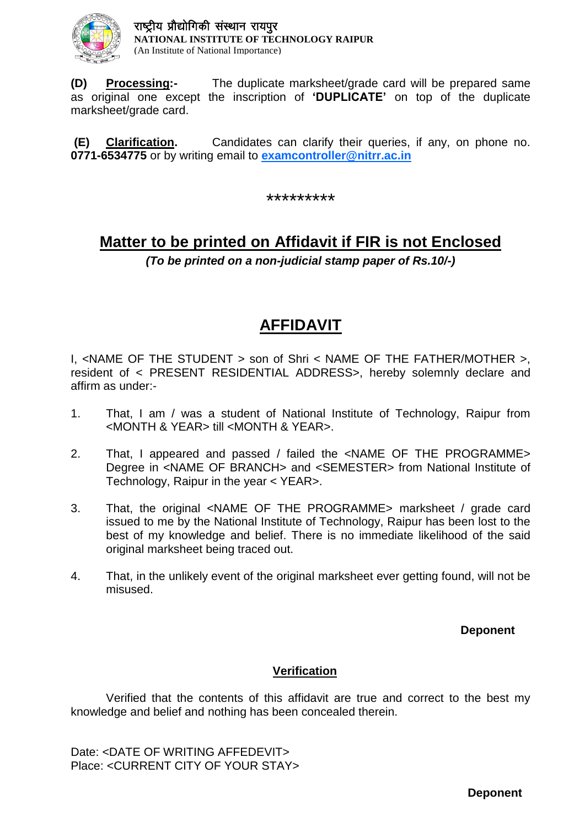

**(D) Processing:-** The duplicate marksheet/grade card will be prepared same as original one except the inscription of **'DUPLICATE'** on top of the duplicate marksheet/grade card.

**(E) Clarification.** Candidates can clarify their queries, if any, on phone no. **0771-6534775** or by writing email to **[examcontroller@nitrr.ac.in](mailto:examcontroller@nitrr.ac.in)**

\*\*\*\*\*\*\*\*\*

# **Matter to be printed on Affidavit if FIR is not Enclosed**

*(To be printed on a non-judicial stamp paper of Rs.10/-)*

## **AFFIDAVIT**

I, <NAME OF THE STUDENT > son of Shri < NAME OF THE FATHER/MOTHER >, resident of < PRESENT RESIDENTIAL ADDRESS>, hereby solemnly declare and affirm as under:-

- 1. That, I am / was a student of National Institute of Technology, Raipur from <MONTH & YEAR> till <MONTH & YEAR>.
- 2. That, I appeared and passed / failed the <NAME OF THE PROGRAMME> Degree in <NAME OF BRANCH> and <SEMESTER> from National Institute of Technology, Raipur in the year < YEAR>.
- 3. That, the original <NAME OF THE PROGRAMME> marksheet / grade card issued to me by the National Institute of Technology, Raipur has been lost to the best of my knowledge and belief. There is no immediate likelihood of the said original marksheet being traced out.
- 4. That, in the unlikely event of the original marksheet ever getting found, will not be misused.

**Deponent**

#### **Verification**

Verified that the contents of this affidavit are true and correct to the best my knowledge and belief and nothing has been concealed therein.

Date: <DATE OF WRITING AFFEDEVIT> Place: <CURRENT CITY OF YOUR STAY>